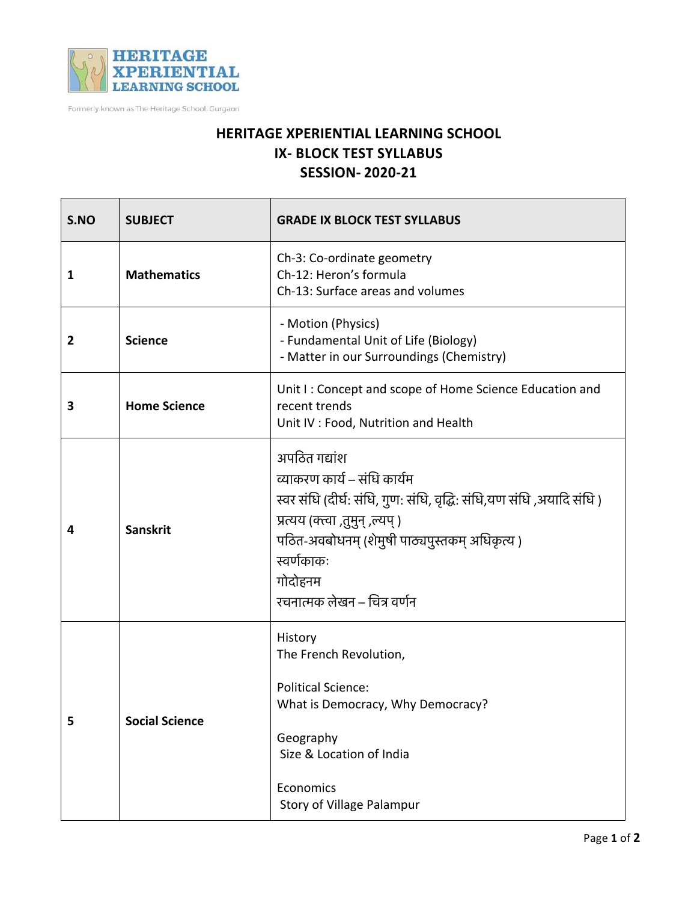

Formerly known as The Heritage School, Gurgaon

## **HERITAGE XPERIENTIAL LEARNING SCHOOL IX- BLOCK TEST SYLLABUS SESSION- 2020-21**

| S.NO           | <b>SUBJECT</b>        | <b>GRADE IX BLOCK TEST SYLLABUS</b>                                                                                                                                                                                                                               |
|----------------|-----------------------|-------------------------------------------------------------------------------------------------------------------------------------------------------------------------------------------------------------------------------------------------------------------|
| 1              | <b>Mathematics</b>    | Ch-3: Co-ordinate geometry<br>Ch-12: Heron's formula<br>Ch-13: Surface areas and volumes                                                                                                                                                                          |
| $\overline{2}$ | <b>Science</b>        | - Motion (Physics)<br>- Fundamental Unit of Life (Biology)<br>- Matter in our Surroundings (Chemistry)                                                                                                                                                            |
| 3              | <b>Home Science</b>   | Unit I: Concept and scope of Home Science Education and<br>recent trends<br>Unit IV : Food, Nutrition and Health                                                                                                                                                  |
| 4              | <b>Sanskrit</b>       | अपठित गद्यांश<br>व्याकरण कार्य – संधि कार्यम<br>स्वर संधि (दीर्घ: संधि, गुण: संधि, वृद्धि: संधि,यण संधि ,अयादि संधि )<br>प्रत्यय (क्त्वा ,तुमुन् ,ल्यप्)<br>पठित-अवबोधनम् (शेमुषी पाठ्यपुस्तकम् अधिकृत्य)<br>स्वर्णकाकः<br>गोदोहनम<br>रचनात्मक लेखन – चित्र वर्णन |
| 5              | <b>Social Science</b> | History<br>The French Revolution,<br><b>Political Science:</b><br>What is Democracy, Why Democracy?<br>Geography<br>Size & Location of India<br>Economics<br><b>Story of Village Palampur</b>                                                                     |